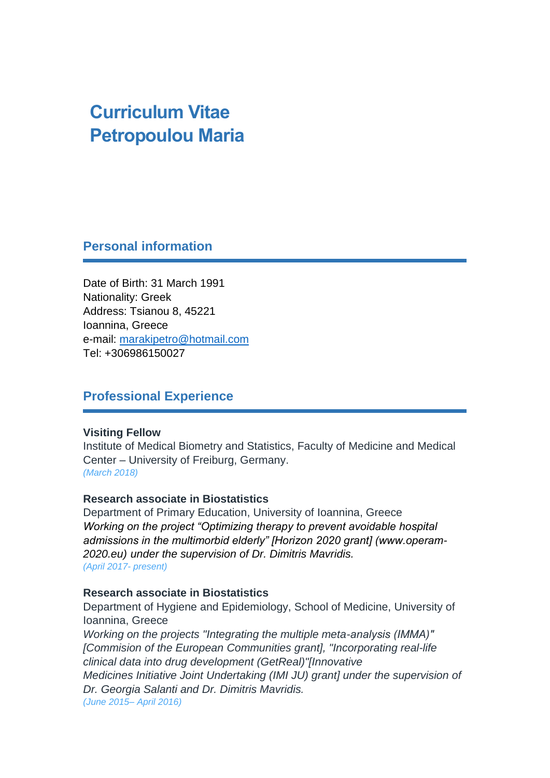# **Curriculum Vitae Petropoulou Maria**

**Personal information**

Date of Birth: 31 March 1991 Nationality: Greek Address: Tsianou 8, 45221 Ioannina, Greece e-mail: [marakipetro@hotmail.com](mailto:marakipetro@hotmail.com) Tel: +306986150027

# **Professional Experience**

#### **Visiting Fellow**

Institute of Medical Biometry and Statistics, Faculty of Medicine and Medical Center – University of Freiburg, Germany. *(March 2018)*

#### **Research associate in Biostatistics**

Department of Primary Education, University of Ioannina, Greece *Working on the project "Optimizing therapy to prevent avoidable hospital admissions in the multimorbid elderly" [Horizon 2020 grant] (www.operam-2020.eu) under the supervision of Dr. Dimitris Mavridis. (April 2017- present)*

#### **Research associate in Biostatistics**

Department of Hygiene and Epidemiology, School of Medicine, University of Ioannina, Greece

*Working on the projects "Integrating the multiple meta-analysis (ΙΜΜΑ)" [Commision of the European Communities grant], "Incorporating real-life clinical data into drug development (GetReal)"[Innovative Medicines Initiative Joint Undertaking (IMI JU) grant] under the supervision of Dr. Georgia Salanti and Dr. Dimitris Mavridis. (June 2015– April 2016)*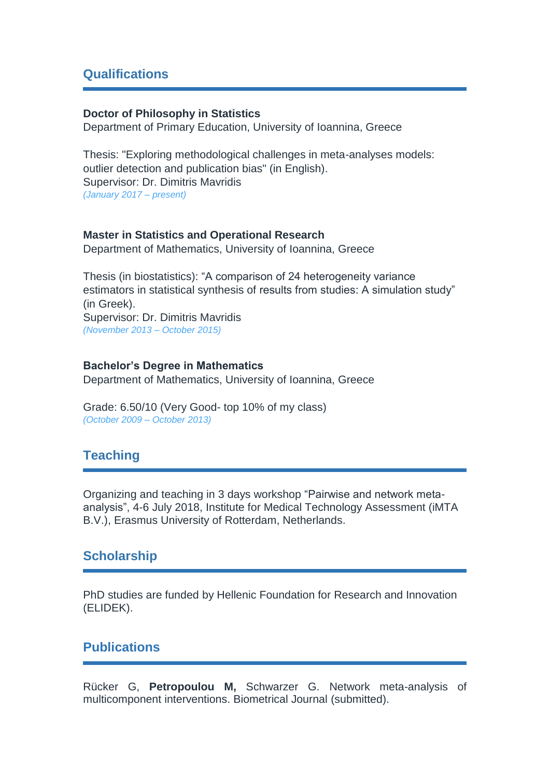## **Qualifications**

#### **Doctor of Philosophy in Statistics**

Department of Primary Education, University of Ioannina, Greece

Thesis: "Exploring methodological challenges in meta-analyses models: outlier detection and publication bias" (in English). Supervisor: Dr. Dimitris Mavridis *(January 2017 – present)*

#### **Master in Statistics and Operational Research**

Department of Mathematics, University of Ioannina, Greece

Thesis (in biostatistics): "A comparison of 24 heterogeneity variance estimators in statistical synthesis of results from studies: A simulation study" (in Greek). Supervisor: Dr. Dimitris Mavridis *(November 2013 – October 2015)*

#### **Bachelor's Degree in Mathematics**

Department of Mathematics, University of Ioannina, Greece

Grade: 6.50/10 (Very Good- top 10% of my class) *(October 2009 – October 2013)*

# **Teaching**

Organizing and teaching in 3 days workshop "Pairwise and network metaanalysis", 4-6 July 2018, Institute for Medical Technology Assessment (iMTA B.V.), Erasmus University of Rotterdam, Netherlands.

### **Scholarship**

PhD studies are funded by Hellenic Foundation for Research and Innovation (ELIDEK).

# **Publications**

Rücker G, **Petropoulou M,** Schwarzer G. Network meta-analysis of multicomponent interventions. Biometrical Journal (submitted).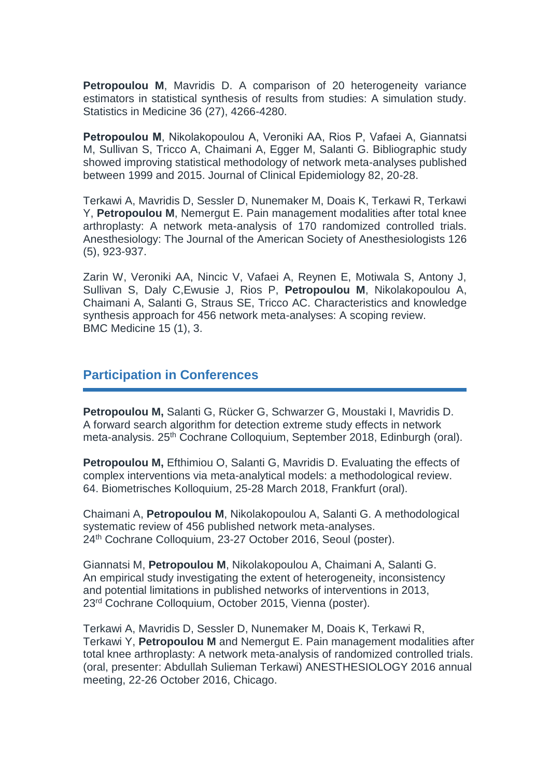**Petropoulou M, Mavridis D. A comparison of 20 heterogeneity variance** estimators in statistical synthesis of results from studies: A simulation study. Statistics in Medicine 36 (27), 4266-4280.

**Petropoulou Μ**, Nikolakopoulou Α, Veroniki ΑΑ, Rios P, Vafaei A, Giannatsi M, Sullivan S, Tricco A, Chaimani A, Egger M, Salanti G. Bibliographic study showed improving statistical methodology of network meta-analyses published between 1999 and 2015. Journal of Clinical Epidemiology 82, 20-28.

Terkawi A, Mavridis D, Sessler D, Nunemaker M, Doais K, Terkawi R, Terkawi Y, **Petropoulou M**, Nemergut E. Pain management modalities after total knee arthroplasty: A network meta-analysis of 170 randomized controlled trials. Anesthesiology: The Journal of the American Society of Anesthesiologists 126 (5), 923-937.

Zarin W, Veroniki AA, Nincic V, Vafaei A, Reynen E, Motiwala S, Antony J, Sullivan S, Daly C,Ewusie J, Rios P, **Petropoulou M**, Nikolakopoulou A, Chaimani A, Salanti G, Straus SE, Tricco AC. Characteristics and knowledge synthesis approach for 456 network meta-analyses: A scoping review. BMC Medicine 15 (1), 3.

### **Participation in Conferences**

**Petropoulou M,** Salanti G, Rücker G, Schwarzer G, Moustaki I, Mavridis D. A forward search algorithm for detection extreme study effects in network meta-analysis. 25<sup>th</sup> Cochrane Colloquium, September 2018, Edinburgh (oral).

**Petropoulou M,** Efthimiou O, Salanti G, Mavridis D. Evaluating the effects of complex interventions via meta-analytical models: a methodological review. 64. Biometrisches Kolloquium, 25-28 March 2018, Frankfurt (oral).

Chaimani A, **Petropoulou M**, Nikolakopoulou A, Salanti G. A methodological systematic review of 456 published network meta-analyses. 24th Cochrane Colloquium, 23-27 October 2016, Seoul (poster).

Giannatsi M, **Petropoulou M**, Nikolakopoulou A, Chaimani A, Salanti G. An empirical study investigating the extent of heterogeneity, inconsistency and potential limitations in published networks of interventions in 2013, 23rd Cochrane Colloquium, October 2015, Vienna (poster).

Terkawi A, Mavridis D, Sessler D, Nunemaker M, Doais K, Terkawi R, Terkawi Y, **Petropoulou M** and Nemergut E. Pain management modalities after total knee arthroplasty: A network meta-analysis of randomized controlled trials. (oral, presenter: Abdullah Sulieman Terkawi) ANESTHESIOLOGY 2016 annual meeting, 22-26 October 2016, Chicago.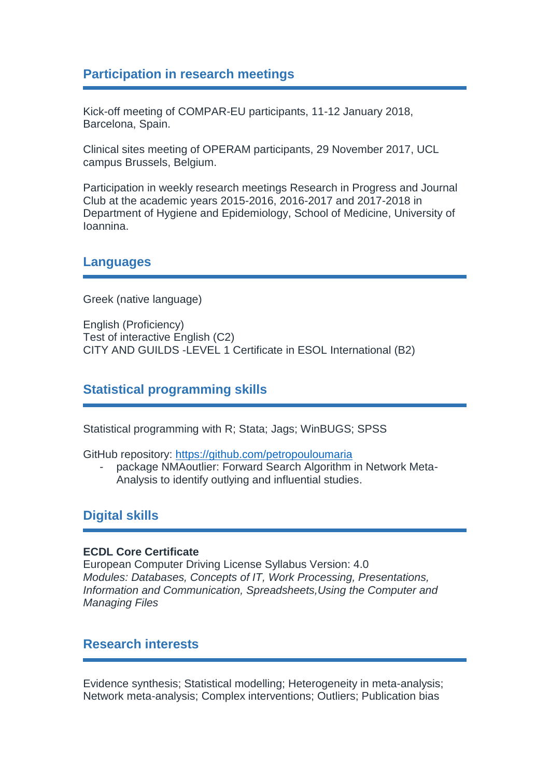# **Participation in research meetings**

Kick-off meeting of COMPAR-EU participants, 11-12 January 2018, Barcelona, Spain.

Clinical sites meeting of OPERAM participants, 29 November 2017, UCL campus Brussels, Belgium.

Participation in weekly research meetings Research in Progress and Journal Club at the academic years 2015-2016, 2016-2017 and 2017-2018 in Department of Hygiene and Epidemiology, School of Medicine, University of Ioannina.

## **Languages**

Greek (native language)

English (Proficiency) Test of interactive English (C2) CITY AND GUILDS -LEVEL 1 Certificate in ESOL International (B2)

# **Statistical programming skills**

Statistical programming with R; Stata; Jags; WinBUGS; SPSS

GitHub repository:<https://github.com/petropouloumaria>

package NMAoutlier: Forward Search Algorithm in Network Meta-Analysis to identify outlying and influential studies.

# **Digital skills**

#### **ECDL Core Certificate**

European Computer Driving License Syllabus Version: 4.0 *Modules: Databases, Concepts of IT, Work Processing, Presentations, Information and Communication, Spreadsheets,Using the Computer and Managing Files*

### **Research interests**

Evidence synthesis; Statistical modelling; Heterogeneity in meta-analysis; Network meta-analysis; Complex interventions; Outliers; Publication bias